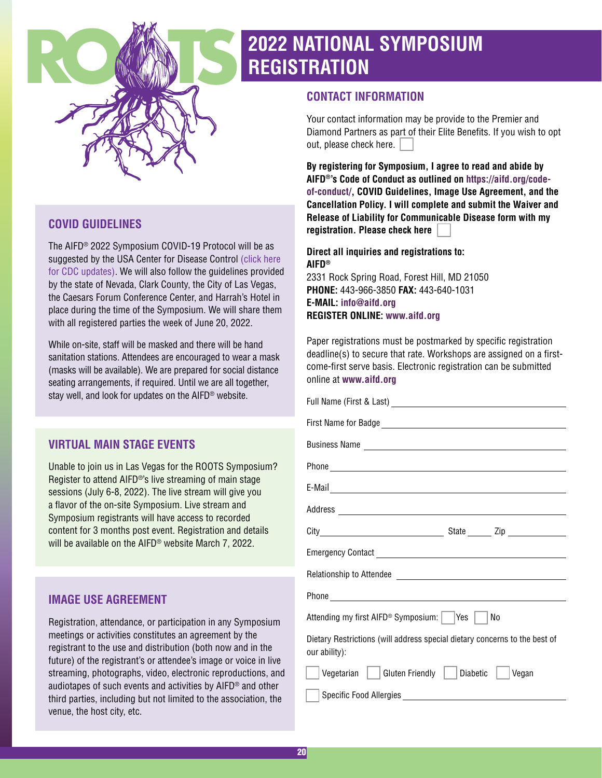

# **2022 NATIONAL SYMPOSIUM REGISTRATION**

## **CONTACT INFORMATION**

Your contact information may be provide to the Premier and Diamond Partners as part of their Elite Benefits. If you wish to opt out, please check here.

**By registering for Symposium, I agree to read and abide by AIFD®'s Code of Conduct as outlined on [https://aifd.org/code](https://aifd.org/code-of-conduct/)[of-conduct/,](https://aifd.org/code-of-conduct/) COVID Guidelines, Image Use Agreement, and the Cancellation Policy. I will complete and submit the Waiver and Release of Liability for Communicable Disease form with my registration. Please check here**

**Direct all inquiries and registrations to: AIFD®** 2331 Rock Spring Road, Forest Hill, MD 21050 **PHONE:** 443-966-3850 **FAX:** 443-640-1031 **E-MAIL: [info@aifd.org](mailto:info@aifd.org) REGISTER ONLINE: [www.aifd.org](http://www.aifd.org)**

Paper registrations must be postmarked by specific registration deadline(s) to secure that rate. Workshops are assigned on a firstcome-first serve basis. Electronic registration can be submitted online at **[www.aifd.org](http://www.aifd.org)**

| Phone experience and the contract of the contract of the contract of the contract of the contract of the contract of the contract of the contract of the contract of the contract of the contract of the contract of the contr |  |  |  |  |  |
|--------------------------------------------------------------------------------------------------------------------------------------------------------------------------------------------------------------------------------|--|--|--|--|--|
| Attending my first AIFD <sup>®</sup> Symposium:  <br> Yes<br>No                                                                                                                                                                |  |  |  |  |  |
| Dietary Restrictions (will address special dietary concerns to the best of<br>our ability):                                                                                                                                    |  |  |  |  |  |
| <b>Gluten Friendly</b><br>Vegetarian<br>Diabetic  <br>Vegan                                                                                                                                                                    |  |  |  |  |  |
|                                                                                                                                                                                                                                |  |  |  |  |  |

# **COVID GUIDELINES**

The AIFD® 2022 Symposium COVID-19 Protocol will be as suggested by the USA Center for Disease Control [\(click here](https://www.cdc.gov/)  [for CDC updates\).](https://www.cdc.gov/) We will also follow the guidelines provided by the state of Nevada, Clark County, the City of Las Vegas, the Caesars Forum Conference Center, and Harrah's Hotel in place during the time of the Symposium. We will share them with all registered parties the week of June 20, 2022.

While on-site, staff will be masked and there will be hand sanitation stations. Attendees are encouraged to wear a mask (masks will be available). We are prepared for social distance seating arrangements, if required. Until we are all together, stay well, and look for updates on the AIFD® website.

# **VIRTUAL MAIN STAGE EVENTS**

Unable to join us in Las Vegas for the ROOTS Symposium? Register to attend AIFD®'s live streaming of main stage sessions (July 6-8, 2022). The live stream will give you a flavor of the on-site Symposium. Live stream and Symposium registrants will have access to recorded content for 3 months post event. Registration and details will be available on the AIFD® website March 7, 2022.

# **IMAGE USE AGREEMENT**

Registration, attendance, or participation in any Symposium meetings or activities constitutes an agreement by the registrant to the use and distribution (both now and in the future) of the registrant's or attendee's image or voice in live streaming, photographs, video, electronic reproductions, and audiotapes of such events and activities by AIFD® and other third parties, including but not limited to the association, the venue, the host city, etc.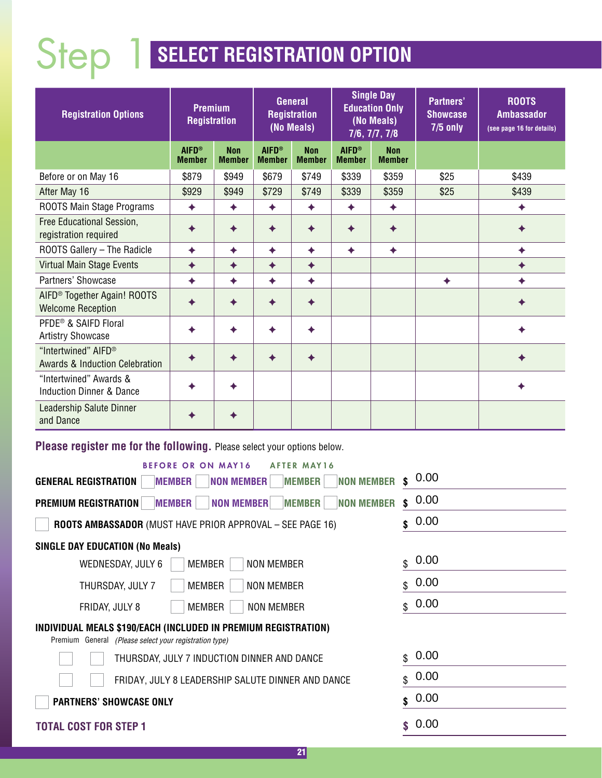# Step 1 **SELECT REGISTRATION OPTION**

| <b>Registration Options</b>                                         | <b>Premium</b><br><b>Registration</b> |                             | <b>General</b><br><b>Registration</b><br>(No Meals) |                             | <b>Single Day</b><br><b>Education Only</b><br>(No Meals)<br>7/6, 7/7, 7/8 |                             | <b>Partners'</b><br><b>Showcase</b><br>$7/5$ only | <b>ROOTS</b><br><b>Ambassador</b><br>(see page 16 for details) |
|---------------------------------------------------------------------|---------------------------------------|-----------------------------|-----------------------------------------------------|-----------------------------|---------------------------------------------------------------------------|-----------------------------|---------------------------------------------------|----------------------------------------------------------------|
|                                                                     | <b>AIFD®</b><br><b>Member</b>         | <b>Non</b><br><b>Member</b> | <b>AIFD®</b><br><b>Member</b>                       | <b>Non</b><br><b>Member</b> | <b>AIFD®</b><br><b>Member</b>                                             | <b>Non</b><br><b>Member</b> |                                                   |                                                                |
| Before or on May 16                                                 | \$879                                 | \$949                       | \$679                                               | \$749                       | \$339                                                                     | \$359                       | \$25                                              | \$439                                                          |
| After May 16                                                        | \$929                                 | \$949                       | \$729                                               | \$749                       | \$339                                                                     | \$359                       | \$25                                              | \$439                                                          |
| ROOTS Main Stage Programs                                           | ◆                                     | ✦                           | ✦                                                   | ◆                           | ✦                                                                         | ✦                           |                                                   |                                                                |
| Free Educational Session,<br>registration required                  |                                       |                             |                                                     |                             |                                                                           |                             |                                                   |                                                                |
| ROOTS Gallery - The Radicle                                         |                                       | ✦                           | ◆                                                   | ✦                           | ✦                                                                         | ◆                           |                                                   |                                                                |
| Virtual Main Stage Events                                           |                                       |                             |                                                     |                             |                                                                           |                             |                                                   |                                                                |
| Partners' Showcase                                                  | ◆                                     | ◆                           | ◆                                                   | ◆                           |                                                                           |                             |                                                   |                                                                |
| AIFD <sup>®</sup> Together Again! ROOTS<br><b>Welcome Reception</b> |                                       |                             |                                                     |                             |                                                                           |                             |                                                   |                                                                |
| PFDE <sup>®</sup> & SAIFD Floral<br><b>Artistry Showcase</b>        |                                       |                             |                                                     |                             |                                                                           |                             |                                                   |                                                                |
| "Intertwined" AIFD®<br><b>Awards &amp; Induction Celebration</b>    |                                       |                             |                                                     |                             |                                                                           |                             |                                                   |                                                                |
| "Intertwined" Awards &<br><b>Induction Dinner &amp; Dance</b>       |                                       |                             |                                                     |                             |                                                                           |                             |                                                   |                                                                |
| <b>Leadership Salute Dinner</b><br>and Dance                        |                                       |                             |                                                     |                             |                                                                           |                             |                                                   |                                                                |

**Please register me for the following.** Please select your options below.

| <b>BEFORE OR ON MAY16</b><br><b>AFTER MAY16</b>                                                                          |                      |  |  |  |  |  |  |
|--------------------------------------------------------------------------------------------------------------------------|----------------------|--|--|--|--|--|--|
| <b>NON MEMBER</b><br><b>NON MEMBER</b><br><b>MEMBER</b><br><b>MEMBER</b><br><b>GENERAL REGISTRATION</b>                  | 0.00<br>\$           |  |  |  |  |  |  |
| <b>NON MEMBER</b><br><b>NON MEMBER</b><br><b>MEMBER</b><br><b>PREMIUM REGISTRATION</b><br><b>MEMBER</b>                  | 0.00<br>$\mathbf{s}$ |  |  |  |  |  |  |
| <b>ROOTS AMBASSADOR (MUST HAVE PRIOR APPROVAL - SEE PAGE 16)</b>                                                         | 0.00<br>\$           |  |  |  |  |  |  |
| <b>SINGLE DAY EDUCATION (No Meals)</b>                                                                                   |                      |  |  |  |  |  |  |
| MEMBER<br><b>NON MEMBER</b><br>WEDNESDAY, JULY 6                                                                         | 0.00<br>$\mathbb{S}$ |  |  |  |  |  |  |
| MEMBER<br><b>NON MEMBER</b><br>THURSDAY, JULY 7                                                                          | 0.00<br>$\mathbb{S}$ |  |  |  |  |  |  |
| MEMBER<br><b>NON MEMBER</b><br>FRIDAY, JULY 8                                                                            | 0.00<br>$\mathbb{S}$ |  |  |  |  |  |  |
| INDIVIDUAL MEALS \$190/EACH (INCLUDED IN PREMIUM REGISTRATION)<br>Premium General (Please select your registration type) |                      |  |  |  |  |  |  |
| THURSDAY, JULY 7 INDUCTION DINNER AND DANCE                                                                              | 0.00<br>$\mathbb{S}$ |  |  |  |  |  |  |
| FRIDAY, JULY 8 LEADERSHIP SALUTE DINNER AND DANCE                                                                        | 0.00<br>\$           |  |  |  |  |  |  |
| <b>PARTNERS' SHOWCASE ONLY</b>                                                                                           | 0.00<br>\$           |  |  |  |  |  |  |
| <b>TOTAL COST FOR STEP 1</b>                                                                                             | 0.00<br>\$           |  |  |  |  |  |  |
|                                                                                                                          |                      |  |  |  |  |  |  |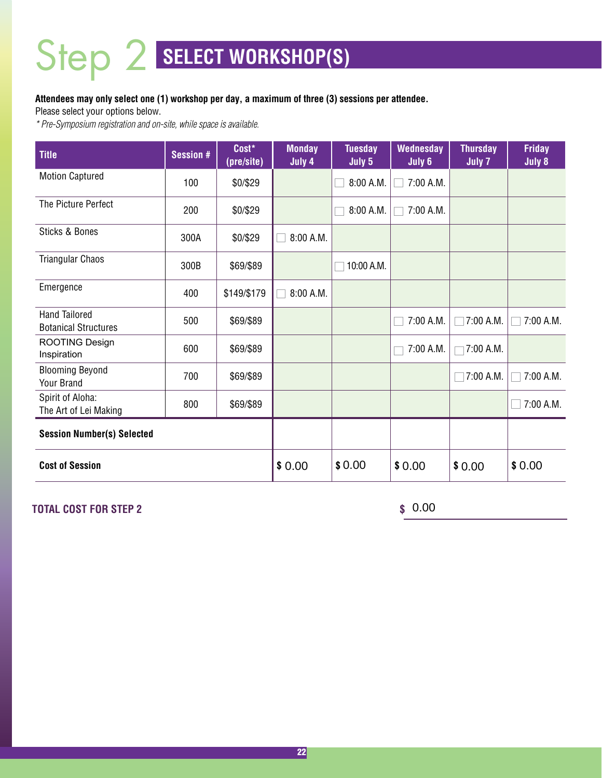### **Attendees may only select one (1) workshop per day, a maximum of three (3) sessions per attendee.**

Please select your options below.

*\* Pre-Symposium registration and on-site, while space is available.*

| <b>Title</b>                                        | <b>Session #</b> | Cost*<br>(pre/site) | <b>Monday</b><br>July 4 | <b>Tuesday</b><br>July 5 | <b>Wednesday</b><br>July 6 | <b>Thursday</b><br>July 7 | <b>Friday</b><br>July 8 |
|-----------------------------------------------------|------------------|---------------------|-------------------------|--------------------------|----------------------------|---------------------------|-------------------------|
| <b>Motion Captured</b>                              | 100              | \$0/\$29            |                         | 8:00 A.M.                | 7:00 A.M.                  |                           |                         |
| The Picture Perfect                                 | 200              | \$0/\$29            |                         | 8:00 A.M.                | 7:00 A.M.                  |                           |                         |
| <b>Sticks &amp; Bones</b>                           | 300A             | \$0/\$29            | 8:00 A.M.               |                          |                            |                           |                         |
| <b>Triangular Chaos</b>                             | 300B             | \$69/\$89           |                         | 10:00 A.M.               |                            |                           |                         |
| Emergence                                           | 400              | \$149/\$179         | 8:00 A.M.               |                          |                            |                           |                         |
| <b>Hand Tailored</b><br><b>Botanical Structures</b> | 500              | \$69/\$89           |                         |                          | 7:00 A.M.                  | 7:00 A.M.                 | 7:00 A.M.               |
| ROOTING Design<br>Inspiration                       | 600              | \$69/\$89           |                         |                          | 7:00 A.M.                  | 7:00 A.M.                 |                         |
| <b>Blooming Beyond</b><br>Your Brand                | 700              | \$69/\$89           |                         |                          |                            | 7:00 A.M.                 | 7:00 A.M.               |
| Spirit of Aloha:<br>The Art of Lei Making           | 800              | \$69/\$89           |                         |                          |                            |                           | 7:00 A.M.               |
| <b>Session Number(s) Selected</b>                   |                  |                     |                         |                          |                            |                           |                         |
| <b>Cost of Session</b>                              |                  |                     | \$0.00                  | \$0.00                   | \$0.00                     | \$0.00                    | \$0.00                  |

**TOTAL COST FOR STEP 2** 

 $$0.00$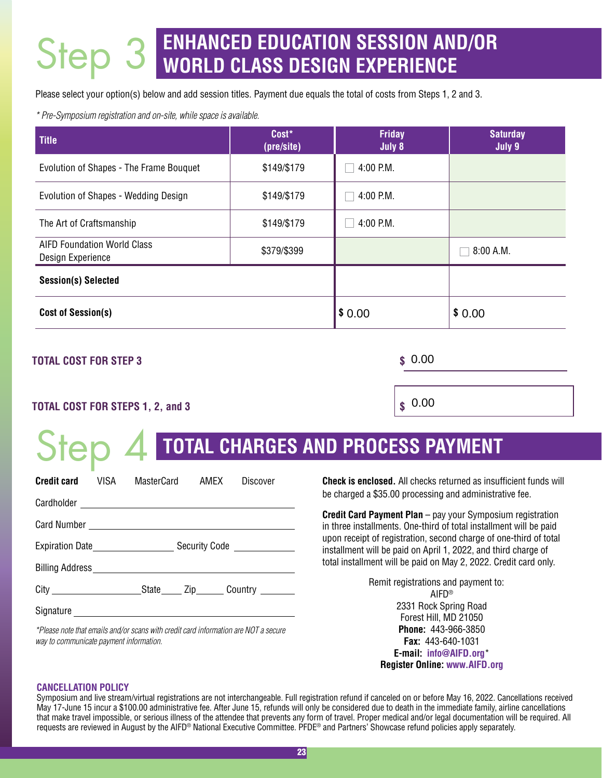# **ENHANCED EDUCATION SESSION AND/OR WORLD CLASS DESIGN EXPERIENCE** Step 3

Please select your option(s) below and add session titles. Payment due equals the total of costs from Steps 1, 2 and 3.

*\* Pre-Symposium registration and on-site, while space is available.*

| <b>Title</b>                                            | Cost*<br>(pre/site) | <b>Friday</b><br>July 8 | <b>Saturday</b><br>July 9 |
|---------------------------------------------------------|---------------------|-------------------------|---------------------------|
| Evolution of Shapes - The Frame Bouquet                 | \$149/\$179         | 4:00 P.M.               |                           |
| Evolution of Shapes - Wedding Design                    | \$149/\$179         | 4:00 P.M.               |                           |
| The Art of Craftsmanship                                | \$149/\$179         | 4:00 P.M.               |                           |
| <b>AIFD Foundation World Class</b><br>Design Experience | \$379/\$399         |                         | 8:00 A.M.                 |
| <b>Session(s) Selected</b>                              |                     |                         |                           |
| <b>Cost of Session(s)</b>                               | \$0.00              | \$0.00                  |                           |

### **TOTAL COST FOR STEP 3 \$**

Step 4

 $$0.00$ 

 $\int$  0.00

## **TOTAL COST FOR STEPS 1, 2, and 3 \$**

# **TOTAL CHARGES AND PROCESS PAYMENT**

| Credit card | VISA                                                                                                      | MasterCard |  | AMFX | Discover |  |
|-------------|-----------------------------------------------------------------------------------------------------------|------------|--|------|----------|--|
|             |                                                                                                           |            |  |      |          |  |
|             |                                                                                                           |            |  |      |          |  |
|             | Expiration Date Expiration Date Expiration Date Expiration Date $\frac{1}{2}$ Security Code $\frac{1}{2}$ |            |  |      |          |  |
|             |                                                                                                           |            |  |      |          |  |
|             |                                                                                                           |            |  |      |          |  |
|             |                                                                                                           |            |  |      |          |  |

*\*Please note that emails and/or scans with credit card information are NOT a secure way to communicate payment information.*

**Check is enclosed.** All checks returned as insufficient funds will be charged a \$35.00 processing and administrative fee.

**Credit Card Payment Plan** – pay your Symposium registration in three installments. One-third of total installment will be paid upon receipt of registration, second charge of one-third of total installment will be paid on April 1, 2022, and third charge of total installment will be paid on May 2, 2022. Credit card only.

> Remit registrations and payment to: AIFD® 2331 Rock Spring Road Forest Hill, MD 21050 **Phone:** 443-966-3850 **Fax:** 443-640-1031 **E-mail: [info@AIFD.org](mailto: info@AIFD.org)**\* **Register Online: [www.AIFD.org](http://www.AIFD.org)**

#### **CANCELLATION POLICY**

Symposium and live stream/virtual registrations are not interchangeable. Full registration refund if canceled on or before May 16, 2022. Cancellations received May 17-June 15 incur a \$100.00 administrative fee. After June 15, refunds will only be considered due to death in the immediate family, airline cancellations that make travel impossible, or serious illness of the attendee that prevents any form of travel. Proper medical and/or legal documentation will be required. All requests are reviewed in August by the AIFD® National Executive Committee. PFDE® and Partners' Showcase refund policies apply separately.